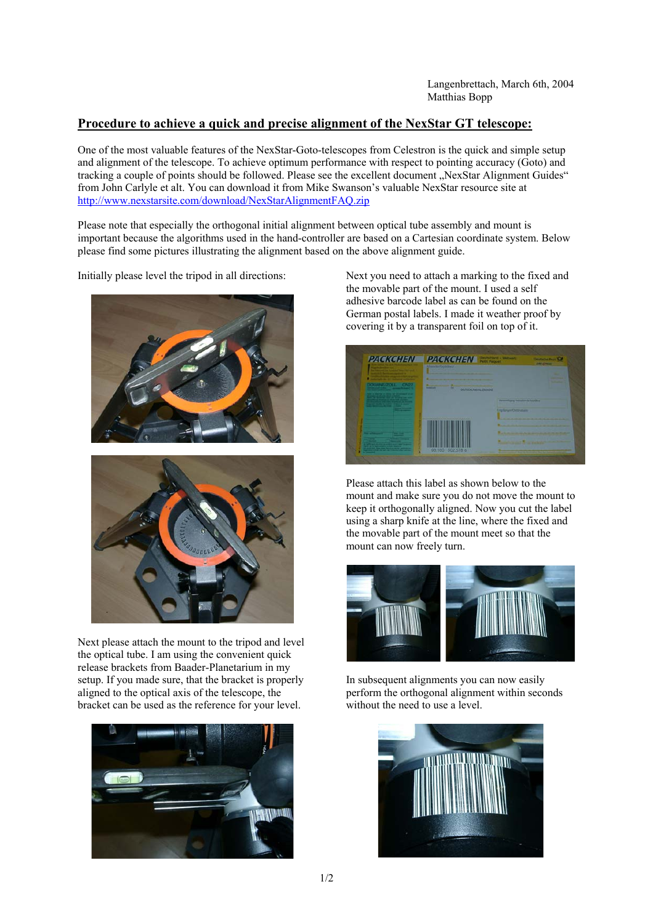## **Procedure to achieve a quick and precise alignment of the NexStar GT telescope:**

One of the most valuable features of the NexStar-Goto-telescopes from Celestron is the quick and simple setup and alignment of the telescope. To achieve optimum performance with respect to pointing accuracy (Goto) and tracking a couple of points should be followed. Please see the excellent document "NexStar Alignment Guides" from John Carlyle et alt. You can download it from Mike Swanson's valuable NexStar resource site at http://www.nexstarsite.com/download/NexStarAlignmentFAQ.zip

Please note that especially the orthogonal initial alignment between optical tube assembly and mount is important because the algorithms used in the hand-controller are based on a Cartesian coordinate system. Below please find some pictures illustrating the alignment based on the above alignment guide.

Initially please level the tripod in all directions:





Next please attach the mount to the tripod and level the optical tube. I am using the convenient quick release brackets from Baader-Planetarium in my setup. If you made sure, that the bracket is properly aligned to the optical axis of the telescope, the bracket can be used as the reference for your level.



Next you need to attach a marking to the fixed and the movable part of the mount. I used a self adhesive barcode label as can be found on the German postal labels. I made it weather proof by covering it by a transparent foil on top of it.



Please attach this label as shown below to the mount and make sure you do not move the mount to keep it orthogonally aligned. Now you cut the label using a sharp knife at the line, where the fixed and the movable part of the mount meet so that the mount can now freely turn.



In subsequent alignments you can now easily perform the orthogonal alignment within seconds without the need to use a level.